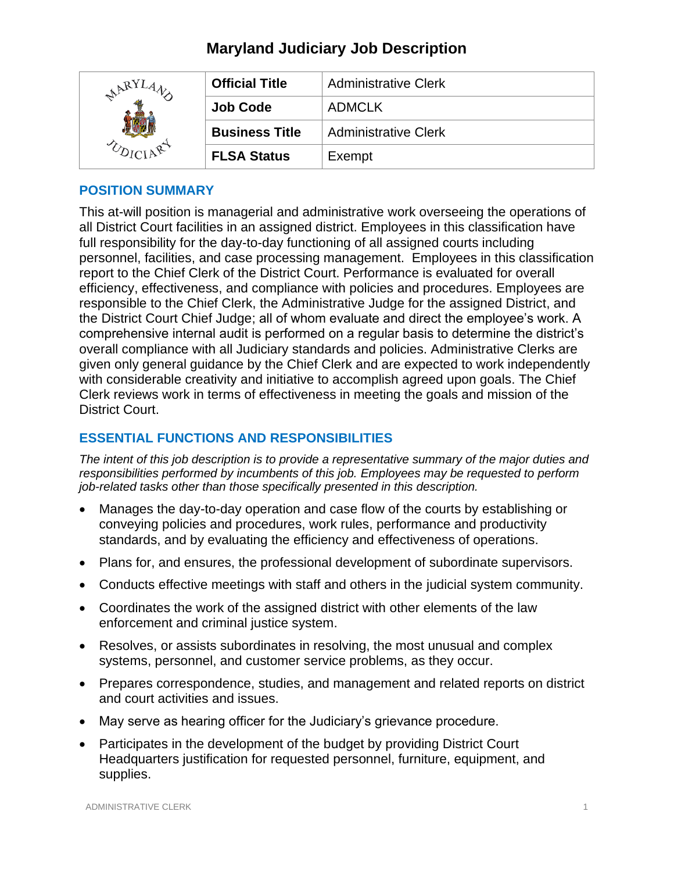# **Maryland Judiciary Job Description**

| RY | <b>Official Title</b> | <b>Administrative Clerk</b> |
|----|-----------------------|-----------------------------|
|    | <b>Job Code</b>       | <b>ADMCLK</b>               |
|    | <b>Business Title</b> | <b>Administrative Clerk</b> |
|    | <b>FLSA Status</b>    | Exempt                      |

## **POSITION SUMMARY**

This at-will position is managerial and administrative work overseeing the operations of all District Court facilities in an assigned district. Employees in this classification have full responsibility for the day-to-day functioning of all assigned courts including personnel, facilities, and case processing management. Employees in this classification report to the Chief Clerk of the District Court. Performance is evaluated for overall efficiency, effectiveness, and compliance with policies and procedures. Employees are responsible to the Chief Clerk, the Administrative Judge for the assigned District, and the District Court Chief Judge; all of whom evaluate and direct the employee's work. A comprehensive internal audit is performed on a regular basis to determine the district's overall compliance with all Judiciary standards and policies. Administrative Clerks are given only general guidance by the Chief Clerk and are expected to work independently with considerable creativity and initiative to accomplish agreed upon goals. The Chief Clerk reviews work in terms of effectiveness in meeting the goals and mission of the District Court.

## **ESSENTIAL FUNCTIONS AND RESPONSIBILITIES**

*The intent of this job description is to provide a representative summary of the major duties and responsibilities performed by incumbents of this job. Employees may be requested to perform job-related tasks other than those specifically presented in this description.*

- Manages the day-to-day operation and case flow of the courts by establishing or conveying policies and procedures, work rules, performance and productivity standards, and by evaluating the efficiency and effectiveness of operations.
- Plans for, and ensures, the professional development of subordinate supervisors.
- Conducts effective meetings with staff and others in the judicial system community.
- Coordinates the work of the assigned district with other elements of the law enforcement and criminal justice system.
- Resolves, or assists subordinates in resolving, the most unusual and complex systems, personnel, and customer service problems, as they occur.
- Prepares correspondence, studies, and management and related reports on district and court activities and issues.
- May serve as hearing officer for the Judiciary's grievance procedure.
- Participates in the development of the budget by providing District Court Headquarters justification for requested personnel, furniture, equipment, and supplies.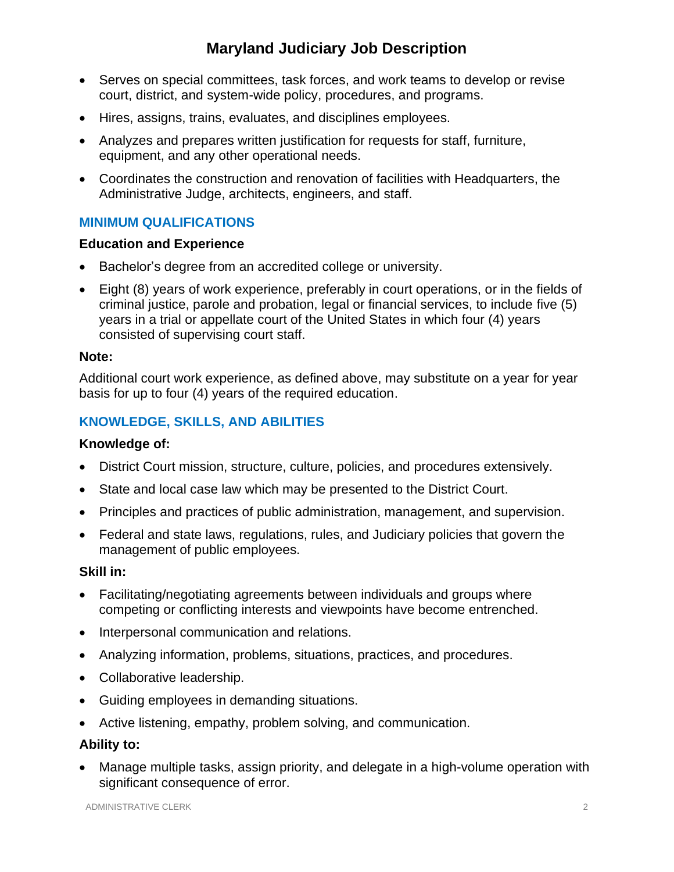# **Maryland Judiciary Job Description**

- Serves on special committees, task forces, and work teams to develop or revise court, district, and system-wide policy, procedures, and programs.
- Hires, assigns, trains, evaluates, and disciplines employees.
- Analyzes and prepares written justification for requests for staff, furniture, equipment, and any other operational needs.
- Coordinates the construction and renovation of facilities with Headquarters, the Administrative Judge, architects, engineers, and staff.

# **MINIMUM QUALIFICATIONS**

### **Education and Experience**

- Bachelor's degree from an accredited college or university.
- Eight (8) years of work experience, preferably in court operations, or in the fields of criminal justice, parole and probation, legal or financial services, to include five (5) years in a trial or appellate court of the United States in which four (4) years consisted of supervising court staff.

#### **Note:**

Additional court work experience, as defined above, may substitute on a year for year basis for up to four (4) years of the required education.

# **KNOWLEDGE, SKILLS, AND ABILITIES**

#### **Knowledge of:**

- District Court mission, structure, culture, policies, and procedures extensively.
- State and local case law which may be presented to the District Court.
- Principles and practices of public administration, management, and supervision.
- Federal and state laws, regulations, rules, and Judiciary policies that govern the management of public employees.

#### **Skill in:**

- Facilitating/negotiating agreements between individuals and groups where competing or conflicting interests and viewpoints have become entrenched.
- Interpersonal communication and relations.
- Analyzing information, problems, situations, practices, and procedures.
- Collaborative leadership.
- Guiding employees in demanding situations.
- Active listening, empathy, problem solving, and communication.

#### **Ability to:**

• Manage multiple tasks, assign priority, and delegate in a high-volume operation with significant consequence of error.